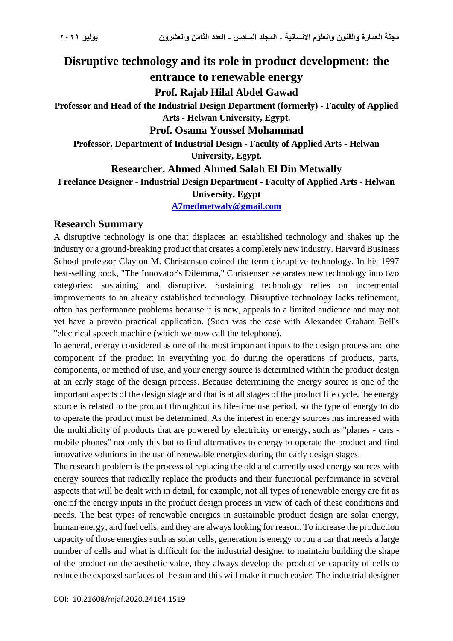# **Disruptive technology and its role in product development: the**

# **entrance to renewable energy**

# **Prof. Rajab Hilal Abdel Gawad**

**Professor and Head of the Industrial Design Department (formerly) - Faculty of Applied Arts - Helwan University, Egypt.**

## **Prof. Osama Youssef Mohammad**

**Professor, Department of Industrial Design - Faculty of Applied Arts - Helwan University, Egypt.**

# **Researcher. Ahmed Ahmed Salah El Din Metwally**

**Freelance Designer - Industrial Design Department - Faculty of Applied Arts - Helwan University, Egypt**

# **[A7medmetwaly@gmail.com](mailto:A7medmetwaly@gmail.com)**

# **Research Summary**

A disruptive technology is one that displaces an established technology and shakes up the industry or a ground-breaking product that creates a completely new industry. Harvard Business School professor Clayton M. Christensen coined the term disruptive technology. In his 1997 best-selling book, "The Innovator's Dilemma," Christensen separates new technology into two categories: sustaining and disruptive. Sustaining technology relies on incremental improvements to an already established technology. Disruptive technology lacks refinement, often has performance problems because it is new, appeals to a limited audience and may not yet have a proven practical application. (Such was the case with Alexander Graham Bell's "electrical speech machine (which we now call the telephone).

In general, energy considered as one of the most important inputs to the design process and one component of the product in everything you do during the operations of products, parts, components, or method of use, and your energy source is determined within the product design at an early stage of the design process. Because determining the energy source is one of the important aspects of the design stage and that is at all stages of the product life cycle, the energy source is related to the product throughout its life-time use period, so the type of energy to do to operate the product must be determined. As the interest in energy sources has increased with the multiplicity of products that are powered by electricity or energy, such as "planes - cars mobile phones" not only this but to find alternatives to energy to operate the product and find innovative solutions in the use of renewable energies during the early design stages.

The research problem is the process of replacing the old and currently used energy sources with energy sources that radically replace the products and their functional performance in several aspects that will be dealt with in detail, for example, not all types of renewable energy are fit as one of the energy inputs in the product design process in view of each of these conditions and needs. The best types of renewable energies in sustainable product design are solar energy, human energy, and fuel cells, and they are always looking for reason. To increase the production capacity of those energies such as solar cells, generation is energy to run a car that needs a large number of cells and what is difficult for the industrial designer to maintain building the shape of the product on the aesthetic value, they always develop the productive capacity of cells to reduce the exposed surfaces of the sun and this will make it much easier. The industrial designer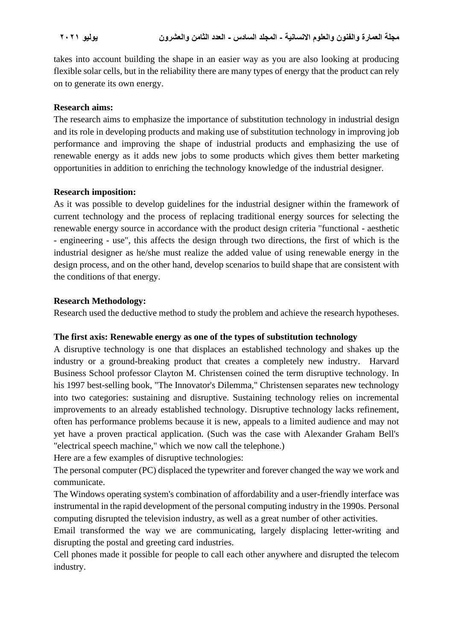takes into account building the shape in an easier way as you are also looking at producing flexible solar cells, but in the reliability there are many types of energy that the product can rely on to generate its own energy.

### **Research aims:**

The research aims to emphasize the importance of substitution technology in industrial design and its role in developing products and making use of substitution technology in improving job performance and improving the shape of industrial products and emphasizing the use of renewable energy as it adds new jobs to some products which gives them better marketing opportunities in addition to enriching the technology knowledge of the industrial designer.

### **Research imposition:**

As it was possible to develop guidelines for the industrial designer within the framework of current technology and the process of replacing traditional energy sources for selecting the renewable energy source in accordance with the product design criteria "functional - aesthetic - engineering - use", this affects the design through two directions, the first of which is the industrial designer as he/she must realize the added value of using renewable energy in the design process, and on the other hand, develop scenarios to build shape that are consistent with the conditions of that energy.

### **Research Methodology:**

Research used the deductive method to study the problem and achieve the research hypotheses.

### **The first axis: Renewable energy as one of the types of substitution technology**

A disruptive technology is one that displaces an established technology and shakes up the industry or a ground-breaking product that creates a completely new industry. Harvard Business School professor Clayton M. Christensen coined the term disruptive technology. In his 1997 best-selling book, "The Innovator's Dilemma," Christensen separates new technology into two categories: sustaining and disruptive. Sustaining technology relies on incremental improvements to an already established technology. Disruptive technology lacks refinement, often has performance problems because it is new, appeals to a limited audience and may not yet have a proven practical application. (Such was the case with Alexander Graham Bell's "electrical speech machine," which we now call the telephone.)

Here are a few examples of disruptive technologies:

The personal computer (PC) displaced the typewriter and forever changed the way we work and communicate.

The Windows operating system's combination of affordability and a user-friendly interface was instrumental in the rapid development of the personal computing industry in the 1990s. Personal computing disrupted the television industry, as well as a great number of other activities.

Email transformed the way we are communicating, largely displacing letter-writing and disrupting the postal and greeting card industries.

Cell phones made it possible for people to call each other anywhere and disrupted the telecom industry.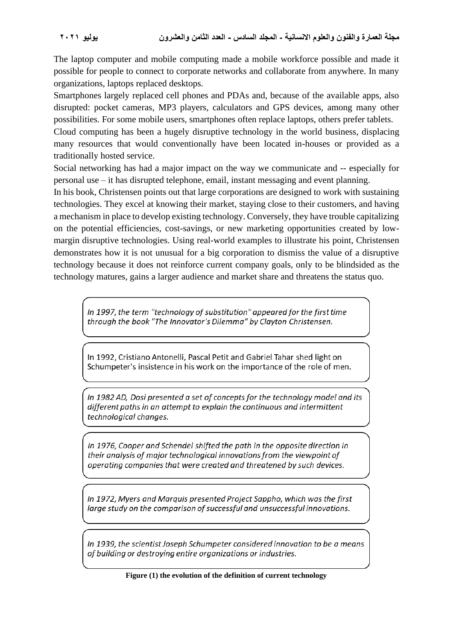The laptop computer and mobile computing made a mobile workforce possible and made it possible for people to connect to corporate networks and collaborate from anywhere. In many organizations, laptops replaced desktops.

Smartphones largely replaced cell phones and PDAs and, because of the available apps, also disrupted: pocket cameras, MP3 players, calculators and GPS devices, among many other possibilities. For some mobile users, smartphones often replace laptops, others prefer tablets.

Cloud computing has been a hugely disruptive technology in the world business, displacing many resources that would conventionally have been located in-houses or provided as a traditionally hosted service.

Social networking has had a major impact on the way we communicate and -- especially for personal use – it has disrupted telephone, email, instant messaging and event planning.

In his book, Christensen points out that large corporations are designed to work with sustaining technologies. They excel at knowing their market, staying close to their customers, and having a mechanism in place to develop existing technology. Conversely, they have trouble capitalizing on the potential efficiencies, cost-savings, or new marketing opportunities created by lowmargin disruptive technologies. Using real-world examples to illustrate his point, Christensen demonstrates how it is not unusual for a big corporation to dismiss the value of a disruptive technology because it does not reinforce current company goals, only to be blindsided as the technology matures, gains a larger audience and market share and threatens the status quo.

In 1997, the term "technology of substitution" appeared for the first time through the book "The Innovator's Dilemma" by Clayton Christensen.

In 1992. Cristiano Antonelli, Pascal Petit and Gabriel Tahar shed light on Schumpeter's insistence in his work on the importance of the role of men.

In 1982 AD, Dosi presented a set of concepts for the technology model and its different paths in an attempt to explain the continuous and intermittent technological changes.

In 1976, Cooper and Schendel shifted the path in the opposite direction in their analysis of major technological innovations from the viewpoint of operating companies that were created and threatened by such devices.

In 1972, Myers and Marquis presented Project Sappho, which was the first large study on the comparison of successful and unsuccessful innovations.

In 1939, the scientist Joseph Schumpeter considered innovation to be a means of building or destroying entire organizations or industries.

**Figure (1) the evolution of the definition of current technology**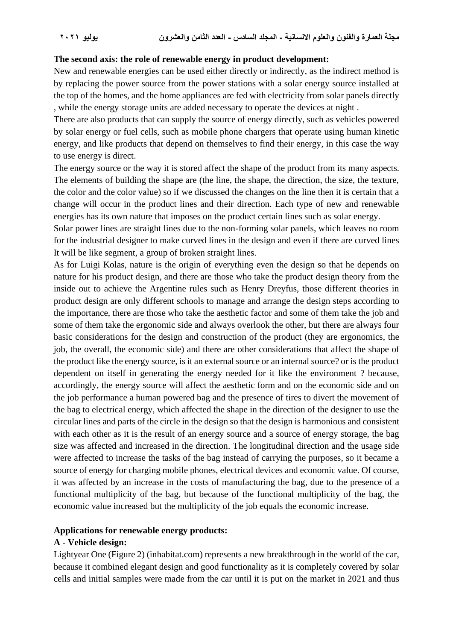### **The second axis: the role of renewable energy in product development:**

New and renewable energies can be used either directly or indirectly, as the indirect method is by replacing the power source from the power stations with a solar energy source installed at the top of the homes, and the home appliances are fed with electricity from solar panels directly , while the energy storage units are added necessary to operate the devices at night .

There are also products that can supply the source of energy directly, such as vehicles powered by solar energy or fuel cells, such as mobile phone chargers that operate using human kinetic energy, and like products that depend on themselves to find their energy, in this case the way to use energy is direct.

The energy source or the way it is stored affect the shape of the product from its many aspects. The elements of building the shape are (the line, the shape, the direction, the size, the texture, the color and the color value) so if we discussed the changes on the line then it is certain that a change will occur in the product lines and their direction. Each type of new and renewable energies has its own nature that imposes on the product certain lines such as solar energy.

Solar power lines are straight lines due to the non-forming solar panels, which leaves no room for the industrial designer to make curved lines in the design and even if there are curved lines It will be like segment, a group of broken straight lines.

As for Luigi Kolas, nature is the origin of everything even the design so that he depends on nature for his product design, and there are those who take the product design theory from the inside out to achieve the Argentine rules such as Henry Dreyfus, those different theories in product design are only different schools to manage and arrange the design steps according to the importance, there are those who take the aesthetic factor and some of them take the job and some of them take the ergonomic side and always overlook the other, but there are always four basic considerations for the design and construction of the product (they are ergonomics, the job, the overall, the economic side) and there are other considerations that affect the shape of the product like the energy source, is it an external source or an internal source? or is the product dependent on itself in generating the energy needed for it like the environment ? because, accordingly, the energy source will affect the aesthetic form and on the economic side and on the job performance a human powered bag and the presence of tires to divert the movement of the bag to electrical energy, which affected the shape in the direction of the designer to use the circular lines and parts of the circle in the design so that the design is harmonious and consistent with each other as it is the result of an energy source and a source of energy storage, the bag size was affected and increased in the direction. The longitudinal direction and the usage side were affected to increase the tasks of the bag instead of carrying the purposes, so it became a source of energy for charging mobile phones, electrical devices and economic value. Of course, it was affected by an increase in the costs of manufacturing the bag, due to the presence of a functional multiplicity of the bag, but because of the functional multiplicity of the bag, the economic value increased but the multiplicity of the job equals the economic increase.

### **Applications for renewable energy products:**

### **A - Vehicle design:**

Lightyear One (Figure 2) (inhabitat.com) represents a new breakthrough in the world of the car, because it combined elegant design and good functionality as it is completely covered by solar cells and initial samples were made from the car until it is put on the market in 2021 and thus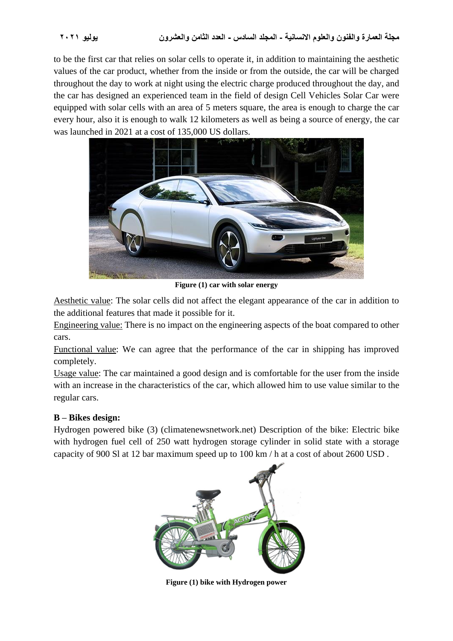to be the first car that relies on solar cells to operate it, in addition to maintaining the aesthetic values of the car product, whether from the inside or from the outside, the car will be charged throughout the day to work at night using the electric charge produced throughout the day, and the car has designed an experienced team in the field of design Cell Vehicles Solar Car were equipped with solar cells with an area of 5 meters square, the area is enough to charge the car every hour, also it is enough to walk 12 kilometers as well as being a source of energy, the car was launched in 2021 at a cost of 135,000 US dollars.



**Figure (1) car with solar energy**

Aesthetic value: The solar cells did not affect the elegant appearance of the car in addition to the additional features that made it possible for it.

Engineering value: There is no impact on the engineering aspects of the boat compared to other cars.

Functional value: We can agree that the performance of the car in shipping has improved completely.

Usage value: The car maintained a good design and is comfortable for the user from the inside with an increase in the characteristics of the car, which allowed him to use value similar to the regular cars.

## **B – Bikes design:**

Hydrogen powered bike (3) (climatenewsnetwork.net) Description of the bike: Electric bike with hydrogen fuel cell of 250 watt hydrogen storage cylinder in solid state with a storage capacity of 900 Sl at 12 bar maximum speed up to 100 km / h at a cost of about 2600 USD .



**Figure (1) bike with Hydrogen power**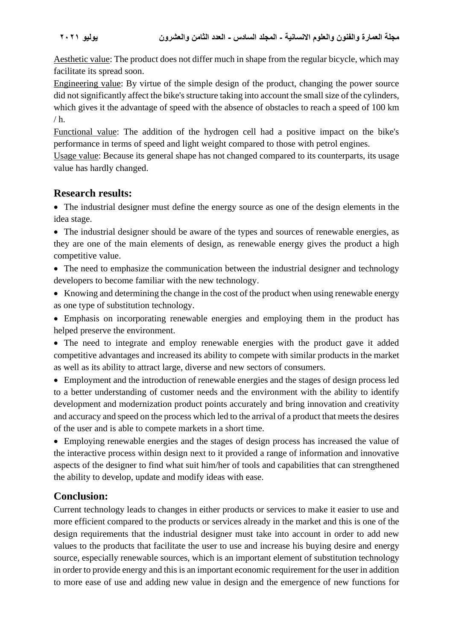Aesthetic value: The product does not differ much in shape from the regular bicycle, which may facilitate its spread soon.

Engineering value: By virtue of the simple design of the product, changing the power source did not significantly affect the bike's structure taking into account the small size of the cylinders, which gives it the advantage of speed with the absence of obstacles to reach a speed of 100 km  $/h.$ 

Functional value: The addition of the hydrogen cell had a positive impact on the bike's performance in terms of speed and light weight compared to those with petrol engines.

Usage value: Because its general shape has not changed compared to its counterparts, its usage value has hardly changed.

# **Research results:**

• The industrial designer must define the energy source as one of the design elements in the idea stage.

• The industrial designer should be aware of the types and sources of renewable energies, as they are one of the main elements of design, as renewable energy gives the product a high competitive value.

• The need to emphasize the communication between the industrial designer and technology developers to become familiar with the new technology.

• Knowing and determining the change in the cost of the product when using renewable energy as one type of substitution technology.

• Emphasis on incorporating renewable energies and employing them in the product has helped preserve the environment.

• The need to integrate and employ renewable energies with the product gave it added competitive advantages and increased its ability to compete with similar products in the market as well as its ability to attract large, diverse and new sectors of consumers.

• Employment and the introduction of renewable energies and the stages of design process led to a better understanding of customer needs and the environment with the ability to identify development and modernization product points accurately and bring innovation and creativity and accuracy and speed on the process which led to the arrival of a product that meets the desires of the user and is able to compete markets in a short time.

• Employing renewable energies and the stages of design process has increased the value of the interactive process within design next to it provided a range of information and innovative aspects of the designer to find what suit him/her of tools and capabilities that can strengthened the ability to develop, update and modify ideas with ease.

# **Conclusion:**

Current technology leads to changes in either products or services to make it easier to use and more efficient compared to the products or services already in the market and this is one of the design requirements that the industrial designer must take into account in order to add new values to the products that facilitate the user to use and increase his buying desire and energy source, especially renewable sources, which is an important element of substitution technology in order to provide energy and this is an important economic requirement for the user in addition to more ease of use and adding new value in design and the emergence of new functions for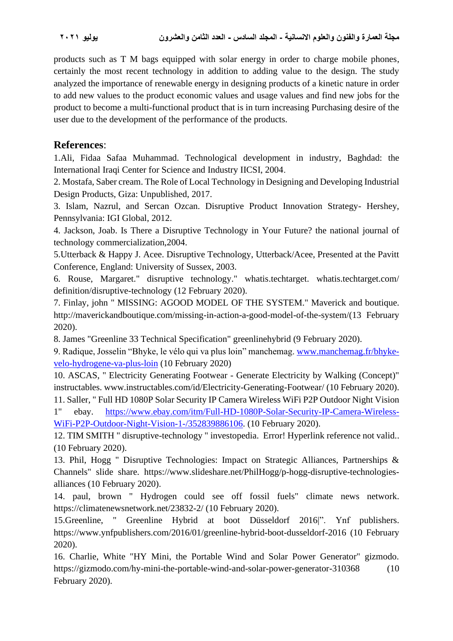products such as T M bags equipped with solar energy in order to charge mobile phones, certainly the most recent technology in addition to adding value to the design. The study analyzed the importance of renewable energy in designing products of a kinetic nature in order to add new values to the product economic values and usage values and find new jobs for the product to become a multi-functional product that is in turn increasing Purchasing desire of the user due to the development of the performance of the products.

# **References**:

1.Ali, Fidaa Safaa Muhammad. Technological development in industry, Baghdad: the International Iraqi Center for Science and Industry IICSI, 2004 .

2. Mostafa, Saber cream. The Role of Local Technology in Designing and Developing Industrial Design Products, Giza: Unpublished, 2017.

3. Islam, Nazrul, and Sercan Ozcan. Disruptive Product Innovation Strategy- Hershey, Pennsylvania: IGI Global, 2012.

4. Jackson, Joab. Is There a Disruptive Technology in Your Future? the national journal of technology commercialization,2004.

5.Utterback & Happy J. Acee. Disruptive Technology, Utterback/Acee, Presented at the Pavitt Conference, England: University of Sussex, 2003.

6. Rouse, [Margaret." disruptive technology." whatis.techtarget. whatis.techtarget.com/](https://www.techtarget.com/contributor/Margaret-Rouse)  [definition/disruptive-technology](http://whatis.techtarget.com/definition/disruptive-technology) (12 February 2020).

7. Finlay, john " MISSING: AGOOD MODEL OF THE SYSTEM." Maverick and boutique. [http://maverickandboutique.com/missing-in-action-a-good-model-of-the-system/\(](http://maverickandboutique.com/missing-in-action-a-good-model-of-the-system/)13 February 2020).

8. James "Greenline 33 Technical Specification" greenlinehybrid (9 February 2020).

9. Radique, Josselin "Bhyke, le vélo qui va plus loin" manchemag. [www.manchemag.fr/bhyke](www.manchemag.fr/bhyke-velo-hydrogene-va-plus-loin)[velo-hydrogene-va-plus-loin](www.manchemag.fr/bhyke-velo-hydrogene-va-plus-loin) (10 February 2020)

10. ASCAS, " Electricity Generating Footwear - Generate Electricity by Walking (Concept)" instructables. [www.instructables.com/id/Electricity-Generating-Footwear/](https://www.instructables.com/id/Electricity-Generating-Footwear/) (10 February 2020).

11. Saller, " Full HD 1080P Solar Security IP Camera Wireless WiFi P2P Outdoor Night Vision 1" ebay. [https://www.ebay.com/itm/Full-HD-1080P-Solar-Security-IP-Camera-Wireless-](https://www.ebay.com/itm/Full-HD-1080P-Solar-Security-IP-Camera-Wireless-WiFi-P2P-Outdoor-Night-Vision-1-/352839886106)[WiFi-P2P-Outdoor-Night-Vision-1-/352839886106.](https://www.ebay.com/itm/Full-HD-1080P-Solar-Security-IP-Camera-Wireless-WiFi-P2P-Outdoor-Night-Vision-1-/352839886106) (10 February 2020).

12. TIM SMITH " disruptive-technology " investopedia. Error! Hyperlink reference not valid.. (10 February 2020).

13. Phil, Hogg " Disruptive Technologies: Impact on Strategic Alliances, Partnerships & Channels" slide share. [https://www.slideshare.net/PhilHogg/p-hogg-disruptive-technologies](https://www.slideshare.net/PhilHogg/p-hogg-disruptive-technologies-alliances)[alliances](https://www.slideshare.net/PhilHogg/p-hogg-disruptive-technologies-alliances) (10 February 2020).

14. paul, brown " Hydrogen could see off fossil fuels" climate news network. <https://climatenewsnetwork.net/23832-2/> (10 February 2020).

15.Greenline, " Greenline Hybrid at boot Düsseldorf 2016|". Ynf publishers. <https://www.ynfpublishers.com/2016/01/greenline-hybrid-boot-dusseldorf-2016> (10 February 2020).

16. Charlie, White "HY Mini, the Portable Wind and Solar Power Generator" gizmodo. <https://gizmodo.com/hy-mini-the-portable-wind-and-solar-power-generator-310368> (10 February 2020).